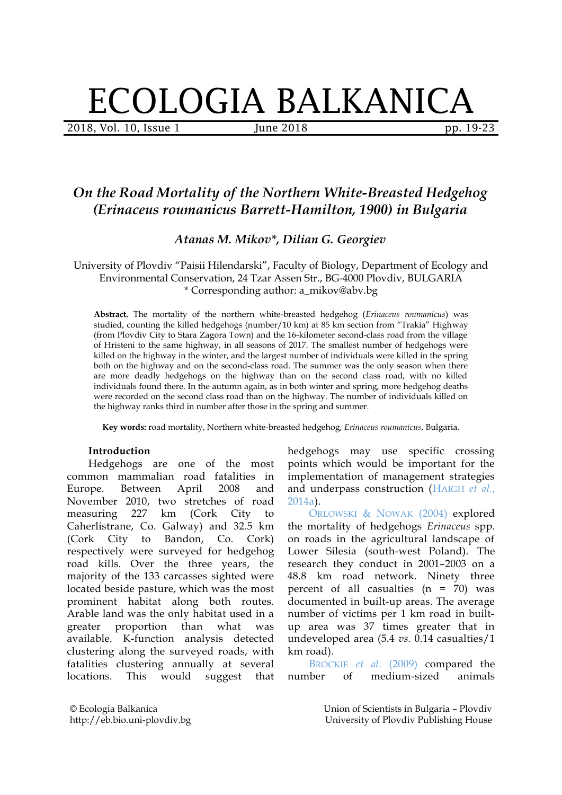# ECOLOGIA BALKANICA

2018, Vol. 10, Issue 1 June 2018 **pp. 19-23** 

## *On the Road Mortality of the Northern White-Breasted Hedgehog (Erinaceus roumanicus Barrett-Hamilton, 1900) in Bulgaria*

*Atanas M. Mikov\*, Dilian G. Georgiev*

University of Plovdiv "Paisii Hilendarski", Faculty of Biology, Department of Ecology and Environmental Conservation, 24 Tzar Assen Str., BG-4000 Plovdiv, BULGARIA \* Corresponding author: a\_mikov@abv.bg

**Abstract.** The mortality of the northern white-breasted hedgehog (*Erinaceus roumanicus*) was studied, counting the killed hedgehogs (number/10 km) at 85 km section from "Trakia" Highway (from Plovdiv City to Stara Zagora Town) and the 16-kilometer second-class road from the village of Hristeni to the same highway, in all seasons of 2017. The smallest number of hedgehogs were killed on the highway in the winter, and the largest number of individuals were killed in the spring both on the highway and on the second-class road. The summer was the only season when there are more deadly hedgehogs on the highway than on the second class road, with no killed individuals found there. In the autumn again, as in both winter and spring, more hedgehog deaths were recorded on the second class road than on the highway. The number of individuals killed on the highway ranks third in number after those in the spring and summer.

**Key words:** road mortality, Northern white-breasted hedgehog, *Erinaceus roumanicus*, Bulgaria.

### **Introduction**

Hedgehogs are one of the most common mammalian road fatalities in Europe. Between April 2008 and November 2010, two stretches of road measuring 227 km (Cork City to Caherlistrane, Co. Galway) and 32.5 km (Cork City to Bandon, Co. Cork) respectively were surveyed for hedgehog road kills. Over the three years, the majority of the 133 carcasses sighted were located beside pasture, which was the most prominent habitat along both routes. Arable land was the only habitat used in a greater proportion than what was available. K-function analysis detected clustering along the surveyed roads, with fatalities clustering annually at several locations. This would suggest that

hedgehogs may use specific crossing points which would be important for the implementation of management strategies and underpass construction (HAIGH *[et al.](#page-3-1)*, [2014a\)](#page-3-1).

O[RLOWSKI](#page-4-0) & NOWAK (2004) explored the mortality of hedgehogs *Erinaceus* spp. on roads in the agricultural landscape of Lower Silesia (south-west Poland). The research they conduct in 2001–2003 on a 48.8 km road network. Ninety three percent of all casualties  $(n = 70)$  was documented in built-up areas. The average number of victims per 1 km road in builtup area was 37 times greater that in undeveloped area (5.4 *vs.* 0.14 casualties/1 km road).

BROCKIE *et al.* [\(2009\) c](#page-3-0)ompared the number of medium-sized animals

© Ecologia Balkanica http://eb.bio.uni-plovdiv.bg Union of Scientists in Bulgaria – Plovdiv University of Plovdiv Publishing House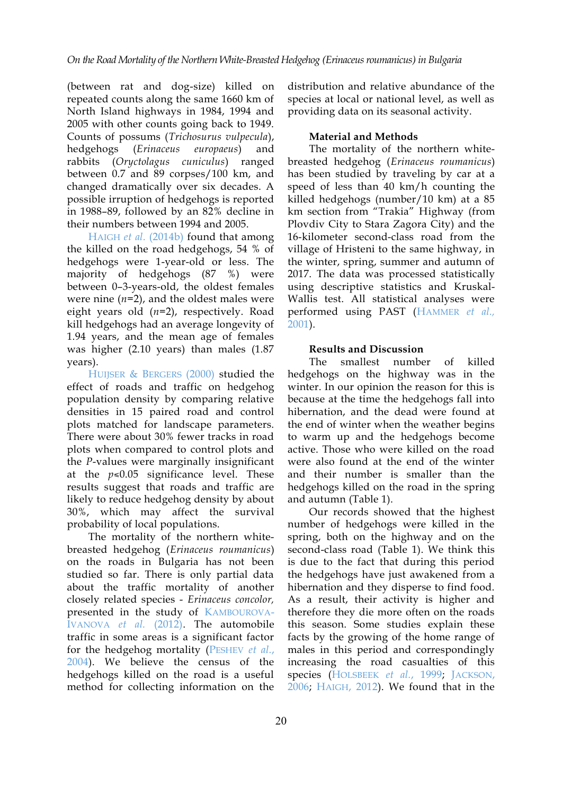(between rat and dog-size) killed on repeated counts along the same 1660 km of North Island highways in 1984, 1994 and 2005 with other counts going back to 1949. Counts of possums (*Trichosurus vulpecula*), hedgehogs (*Erinaceus europaeus*) and rabbits (*Oryctolagus cuniculus*) ranged between 0.7 and 89 corpses/100 km, and changed dramatically over six decades. A possible irruption of hedgehogs is reported in 1988–89, followed by an 82% decline in their numbers between 1994 and 2005.

HAIGH *et al.* [\(2014b\)](#page-3-8) found that among the killed on the road hedgehogs, 54 % of hedgehogs were 1-year-old or less. The majority of hedgehogs (87 %) were between 0–3-years-old, the oldest females were nine  $(n=2)$ , and the oldest males were eight years old (*n*=2), respectively. Road kill hedgehogs had an average longevity of 1.94 years, and the mean age of females was higher (2.10 years) than males (1.87 years).

HUIJSER & BERGERS [\(2000\) s](#page-3-7)tudied the effect of roads and traffic on hedgehog population density by comparing relative densities in 15 paired road and control plots matched for landscape parameters. There were about 30% fewer tracks in road plots when compared to control plots and the *P*-values were marginally insignificant at the  $p \le 0.05$  significance level. These results suggest that roads and traffic are likely to reduce hedgehog density by about 30%, which may affect the survival probability of local populations.

The mortality of the northern whitebreasted hedgehog (*Erinaceus roumanicus*) on the roads in Bulgaria has not been studied so far. There is only partial data about the traffic mortality of another closely related species - *Erinaceus concolor,* presented in the study of K[AMBOUROVA](#page-3-6)-IVANOVA *et al.* [\(2012\).](#page-3-6) The automobile traffic in some areas is a significant factor for the hedgehog mortality (PESHEV *[et al.](#page-4-1)*, [2004\)](#page-4-1). We believe the census of the hedgehogs killed on the road is a useful method for collecting information on the

distribution and relative abundance of the species at local or national level, as well as providing data on its seasonal activity.

### **Material and Methods**

The mortality of the northern whitebreasted hedgehog (*Erinaceus roumanicus*) has been studied by traveling by car at a speed of less than 40 km/h counting the killed hedgehogs (number/10 km) at a 85 km section from "Trakia" Highway (from Plovdiv City to Stara Zagora City) and the 16-kilometer second-class road from the village of Hristeni to the same highway, in the winter, spring, summer and autumn of 2017. The data was processed statistically using descriptive statistics and Kruskal-Wallis test. All statistical analyses were performed using PAST (HAMMER *[et al.,](#page-3-5)* [2001\)](#page-3-5).

### **Results and Discussion**

The smallest number of killed hedgehogs on the highway was in the winter. In our opinion the reason for this is because at the time the hedgehogs fall into hibernation, and the dead were found at the end of winter when the weather begins to warm up and the hedgehogs become active. Those who were killed on the road were also found at the end of the winter and their number is smaller than the hedgehogs killed on the road in the spring and autumn (Table 1).

Our records showed that the highest number of hedgehogs were killed in the spring, both on the highway and on the second-class road (Table 1). We think this is due to the fact that during this period the hedgehogs have just awakened from a hibernation and they disperse to find food. As a result, their activity is higher and therefore they die more often on the roads this season. Some studies explain these facts by the growing of the home range of males in this period and correspondingly increasing the road casualties of this species (HOLSBEEK *et al.*[, 1999;](#page-3-4) J[ACKSON](#page-3-3), [2006;](#page-3-3) HAIGH[, 2012\)](#page-3-2). We found that in the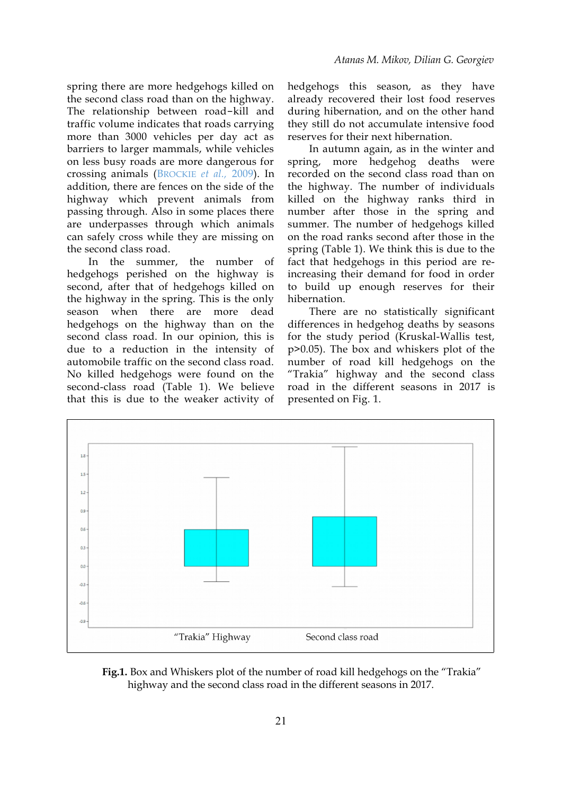spring there are more hedgehogs killed on the second class road than on the highway. The relationship between road-kill and traffic volume indicates that roads carrying more than 3000 vehicles per day act as barriers to larger mammals, while vehicles on less busy roads are more dangerous for crossing animals (BROCKIE *[et al.,](#page-3-0)* 2009). In addition, there are fences on the side of the highway which prevent animals from passing through. Also in some places there are underpasses through which animals can safely cross while they are missing on the second class road.

In the summer, the number of hedgehogs perished on the highway is second, after that of hedgehogs killed on the highway in the spring. This is the only season when there are more dead hedgehogs on the highway than on the second class road. In our opinion, this is due to a reduction in the intensity of automobile traffic on the second class road. No killed hedgehogs were found on the second-class road (Table 1). We believe that this is due to the weaker activity of

hedgehogs this season, as they have already recovered their lost food reserves during hibernation, and on the other hand they still do not accumulate intensive food reserves for their next hibernation.

In autumn again, as in the winter and spring, more hedgehog deaths were recorded on the second class road than on the highway. The number of individuals killed on the highway ranks third in number after those in the spring and summer. The number of hedgehogs killed on the road ranks second after those in the spring (Table 1). We think this is due to the fact that hedgehogs in this period are reincreasing their demand for food in order to build up enough reserves for their hibernation.

There are no statistically significant differences in hedgehog deaths by seasons for the study period (Kruskal-Wallis test, p>0.05). The box and whiskers plot of the number of road kill hedgehogs on the "Trakia" highway and the second class road in the different seasons in 2017 is presented on Fig. 1.



**Fig.1.** Box and Whiskers plot of the number of road kill hedgehogs on the "Trakia" highway and the second class road in the different seasons in 2017.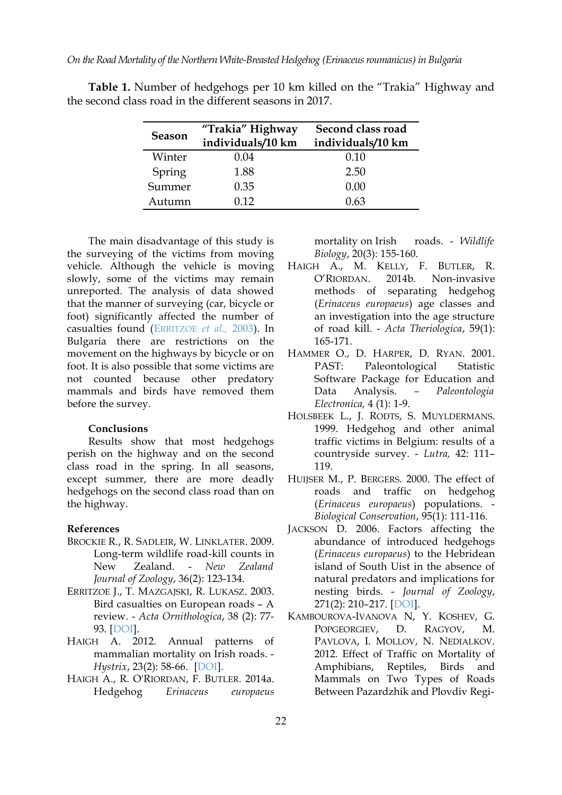*On the Road Mortality of the Northern White-Breasted Hedgehog (Erinaceus roumanicus) in Bulgaria*

| <b>Season</b> | "Trakia" Highway<br>individuals/10 km | Second class road<br>individuals/10 km |
|---------------|---------------------------------------|----------------------------------------|
| Winter        | 0.04                                  | 0.10                                   |
| Spring        | 1.88                                  | 2.50                                   |
| Summer        | 0.35                                  | 0.00                                   |
| Autumn        | 0 12                                  | 0.63                                   |

**Table 1.** Number of hedgehogs per 10 km killed on the "Trakia" Highway and the second class road in the different seasons in 2017.

The main disadvantage of this study is the surveying of the victims from moving vehicle. Although the vehicle is moving slowly, some of the victims may remain unreported. The analysis of data showed that the manner of surveying (car, bicycle or foot) significantly affected the number of casualties found (E[RRITZOE](#page-3-9) *et al.,* 2003). In Bulgaria there are restrictions on the movement on the highways by bicycle or on foot. It is also possible that some victims are not counted because other predatory mammals and birds have removed them before the survey.

#### **Conclusions**

Results show that most hedgehogs perish on the highway and on the second class road in the spring. In all seasons, except summer, there are more deadly hedgehogs on the second class road than on the highway.

#### **References**

- <span id="page-3-0"></span>BROCKIE R., R. SADLEIR, W. LINKLATER. 2009. Long-term wildlife road-kill counts in New Zealand. - *New Zealand Journal of Zoology*, 36(2): 123-134.
- <span id="page-3-9"></span>ERRITZOE J., T. MAZGAJSKI, R. LUKASZ. 2003. Bird casualties on European roads – A review. - *Acta Ornithologica*, 38 (2): 77- 93. [\[DOI\]](https://doi.org/10.3161/068.038.0204).
- <span id="page-3-2"></span>HAIGH A. 2012. Annual patterns of mammalian mortality on Irish roads. - *Hystrix*, 23(2): 58-66. [\[DOI\]](https://doi.org/10.4404/hystrix-23.2-4747).
- <span id="page-3-1"></span>HAIGH A., R. O'RIORDAN, F. BUTLER. 2014a. Hedgehog *Erinaceus europaeus*

mortality on Irish roads. - *Wildlife Biology*, 20(3): 155-160.

- <span id="page-3-8"></span>HAIGH A., M. KELLY, F. BUTLER, R. O'RIORDAN. 2014b. Non-invasive methods of separating hedgehog (*Erinaceus europaeus*) age classes and an investigation into the age structure of road kill. - *Acta Theriologica*, 59(1): 165-171.
- <span id="page-3-5"></span>HAMMER O., D. HARPER, D. RYAN. 2001. PAST: Paleontological Statistic Software Package for Education and Data Analysis. *– Paleontologia Electronica,* 4 (1): 1-9.
- <span id="page-3-4"></span>HOLSBEEK L., J. RODTS, S. MUYLDERMANS. 1999. Hedgehog and other animal traffic victims in Belgium: results of a countryside survey. - *Lutra,* 42: 111– 119.
- <span id="page-3-7"></span>HUIJSER M., P. BERGERS. 2000. The effect of roads and traffic on hedgehog (*Erinaceus europaeus*) populations. - *Biological Conservation*, 95(1): 111-116.
- <span id="page-3-3"></span>JACKSON D. 2006. Factors affecting the abundance of introduced hedgehogs (*Erinaceus europaeus*) to the Hebridean island of South Uist in the absence of natural predators and implications for nesting birds. - *Journal of Zoology*, 271(2): 210–217. [\[DOI\]](https://doi.org/10.1111/j.1469-7998.2006.00204.x).
- <span id="page-3-6"></span>KAMBOUROVA-IVANOVA N, Y. KOSHEV, G. POPGEORGIEV, D. RAGYOV, M. PAVLOVA, I. MOLLOV, N. NEDIALKOV. 2012. Effect of Traffic on Mortality of Amphibians, Reptiles, Birds and Mammals on Two Types of Roads Between Pazardzhik and Plovdiv Regi-